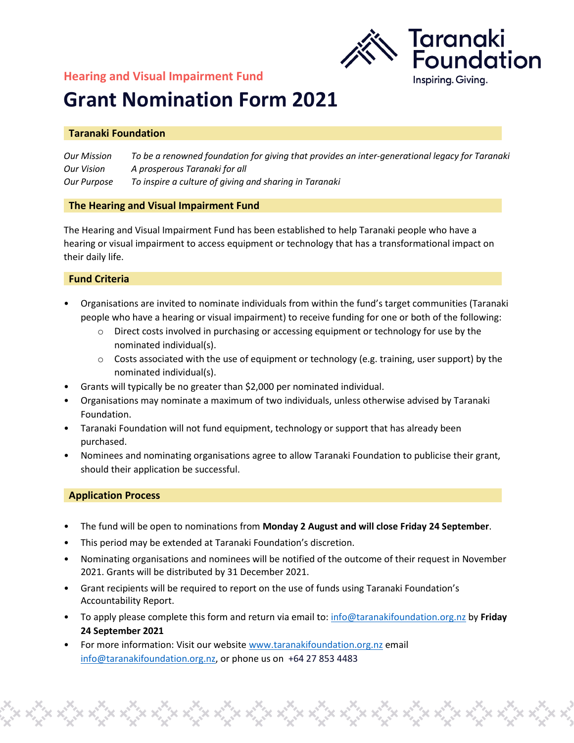## **Hearing and Visual Impairment Fund**



# **Grant Nomination Form 2021**

#### **Taranaki Foundation**

*Our Mission To be a renowned foundation for giving that provides an inter-generational legacy for Taranaki Our Vision A prosperous Taranaki for all Our Purpose To inspire a culture of giving and sharing in Taranaki*

#### **The Hearing and Visual Impairment Fund**

The Hearing and Visual Impairment Fund has been established to help Taranaki people who have a hearing or visual impairment to access equipment or technology that has a transformational impact on their daily life.

#### **Fund Criteria**

- Organisations are invited to nominate individuals from within the fund's target communities (Taranaki people who have a hearing or visual impairment) to receive funding for one or both of the following:
	- $\circ$  Direct costs involved in purchasing or accessing equipment or technology for use by the nominated individual(s).
	- $\circ$  Costs associated with the use of equipment or technology (e.g. training, user support) by the nominated individual(s).
- Grants will typically be no greater than \$2,000 per nominated individual.
- Organisations may nominate a maximum of two individuals, unless otherwise advised by Taranaki Foundation.
- Taranaki Foundation will not fund equipment, technology or support that has already been purchased.
- Nominees and nominating organisations agree to allow Taranaki Foundation to publicise their grant, should their application be successful.

#### **Application Process**

- The fund will be open to nominations from **Monday 2 August and will close Friday 24 September**.
- This period may be extended at Taranaki Foundation's discretion.
- Nominating organisations and nominees will be notified of the outcome of their request in November 2021. Grants will be distributed by 31 December 2021.
- Grant recipients will be required to report on the use of funds using Taranaki Foundation's Accountability Report.
- To apply please complete this form and return via email to: [info@taranakifoundation.org.nz](mailto:info@taranakifoundation.org.nz) by **Friday 24 September 2021**

• For more information: Visit our websit[e www.taranakifoundation.org.nz](http://www.taranakifoundation.org.nz/) email [info@taranakifoundation.org.nz,](mailto:info@taranakifoundation.org.nz) or phone us on +64 27 853 4483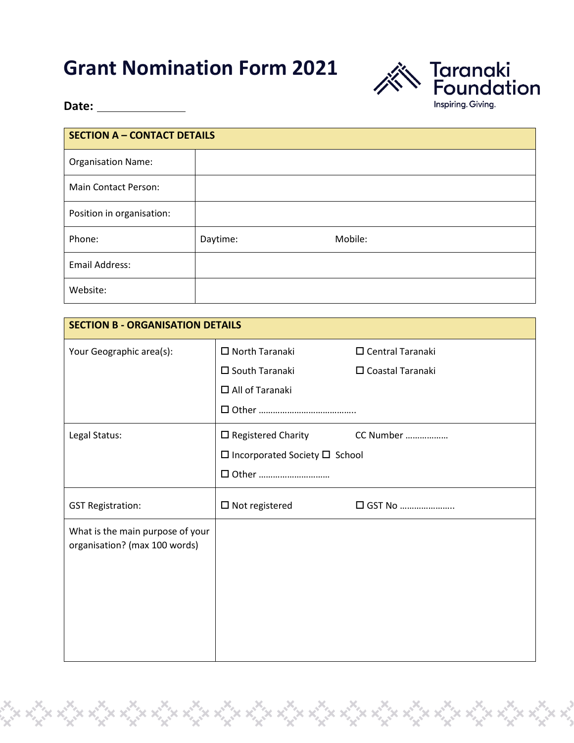## **Grant Nomination Form 2021**



**Date:** 

| <b>SECTION A - CONTACT DETAILS</b> |          |         |  |
|------------------------------------|----------|---------|--|
| <b>Organisation Name:</b>          |          |         |  |
| <b>Main Contact Person:</b>        |          |         |  |
| Position in organisation:          |          |         |  |
| Phone:                             | Daytime: | Mobile: |  |
| Email Address:                     |          |         |  |
| Website:                           |          |         |  |

| <b>SECTION B - ORGANISATION DETAILS</b>                           |                                           |                         |  |
|-------------------------------------------------------------------|-------------------------------------------|-------------------------|--|
| Your Geographic area(s):                                          | □ North Taranaki                          | $\Box$ Central Taranaki |  |
|                                                                   | $\square$ South Taranaki                  | $\Box$ Coastal Taranaki |  |
|                                                                   | $\Box$ All of Taranaki                    |                         |  |
|                                                                   |                                           |                         |  |
| Legal Status:                                                     | $\square$ Registered Charity              | CC Number               |  |
|                                                                   | $\Box$ Incorporated Society $\Box$ School |                         |  |
|                                                                   | □ Other                                   |                         |  |
| <b>GST Registration:</b>                                          | $\square$ Not registered                  | □ GST No                |  |
| What is the main purpose of your<br>organisation? (max 100 words) |                                           |                         |  |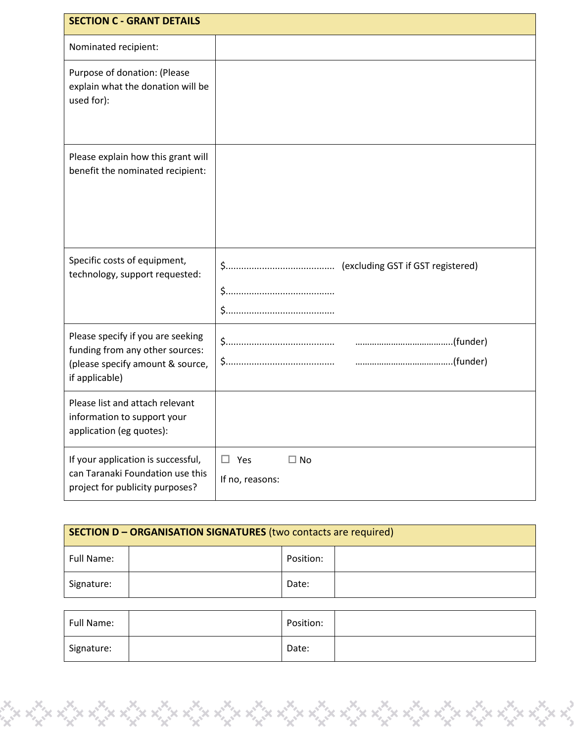| <b>SECTION C - GRANT DETAILS</b>                                                                                           |                                               |
|----------------------------------------------------------------------------------------------------------------------------|-----------------------------------------------|
| Nominated recipient:                                                                                                       |                                               |
| Purpose of donation: (Please<br>explain what the donation will be<br>used for):                                            |                                               |
| Please explain how this grant will<br>benefit the nominated recipient:                                                     |                                               |
| Specific costs of equipment,<br>technology, support requested:                                                             |                                               |
| Please specify if you are seeking<br>funding from any other sources:<br>(please specify amount & source,<br>if applicable) |                                               |
| Please list and attach relevant<br>information to support your<br>application (eg quotes):                                 |                                               |
| If your application is successful,<br>can Taranaki Foundation use this<br>project for publicity purposes?                  | $\Box$ Yes<br>$\square$ No<br>If no, reasons: |

| SECTION D - ORGANISATION SIGNATURES (two contacts are required) |  |           |  |
|-----------------------------------------------------------------|--|-----------|--|
| Full Name:                                                      |  | Position: |  |
| Signature:                                                      |  | Date:     |  |

| Full Name: | Position: |  |
|------------|-----------|--|
| Signature: | Date:     |  |

topolity de for the different political political political political political political